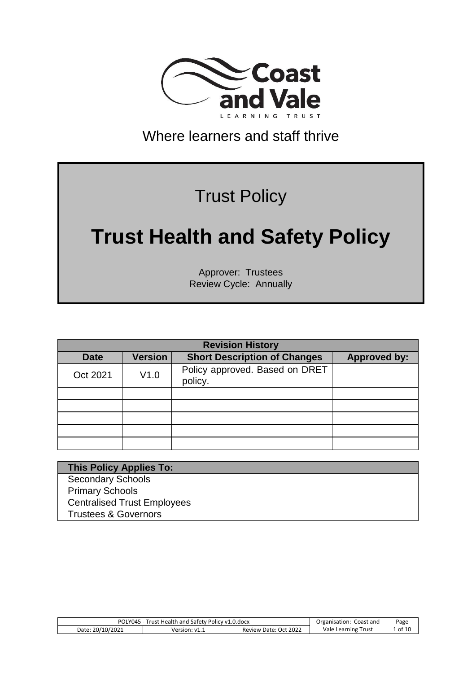

## Where learners and staff thrive

## Trust Policy

# **Trust Health and Safety Policy**

Approver: Trustees Review Cycle: Annually

|             | <b>Revision History</b> |                                           |                     |  |  |  |
|-------------|-------------------------|-------------------------------------------|---------------------|--|--|--|
| <b>Date</b> | <b>Version</b>          | <b>Short Description of Changes</b>       | <b>Approved by:</b> |  |  |  |
| Oct 2021    | V1.0                    | Policy approved. Based on DRET<br>policy. |                     |  |  |  |
|             |                         |                                           |                     |  |  |  |
|             |                         |                                           |                     |  |  |  |
|             |                         |                                           |                     |  |  |  |
|             |                         |                                           |                     |  |  |  |
|             |                         |                                           |                     |  |  |  |

#### **This Policy Applies To:** Secondary Schools

Primary Schools Centralised Trust Employees Trustees & Governors

| 5 - Trust Health and Safety Policy v1.0.docx<br>POLY045 |               | Coast and<br>Organisation: | Page                |         |
|---------------------------------------------------------|---------------|----------------------------|---------------------|---------|
| Date: 20/10/2021                                        | Version: v1.1 | Review Date: Oct 2022      | Vale Learning Trust | 1 of 10 |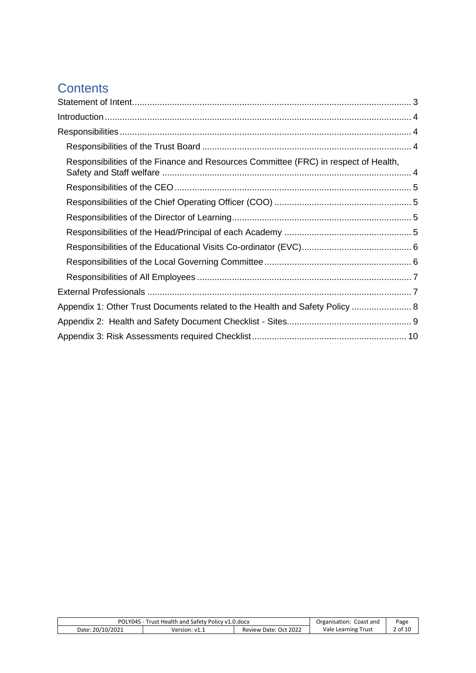### **Contents**

| Responsibilities of the Finance and Resources Committee (FRC) in respect of Health, |  |
|-------------------------------------------------------------------------------------|--|
|                                                                                     |  |
|                                                                                     |  |
|                                                                                     |  |
|                                                                                     |  |
|                                                                                     |  |
|                                                                                     |  |
|                                                                                     |  |
|                                                                                     |  |
| Appendix 1: Other Trust Documents related to the Health and Safety Policy  8        |  |
|                                                                                     |  |
|                                                                                     |  |

<span id="page-1-0"></span>

| POLY045 - Trust Health and Safety Policy v1.0.docx |               |                       | Organisation: Coast and | Page    |
|----------------------------------------------------|---------------|-----------------------|-------------------------|---------|
| Date: 20/10/2021                                   | Version: v1.1 | Review Date: Oct 2022 | Vale Learning Trust     | 2 of 10 |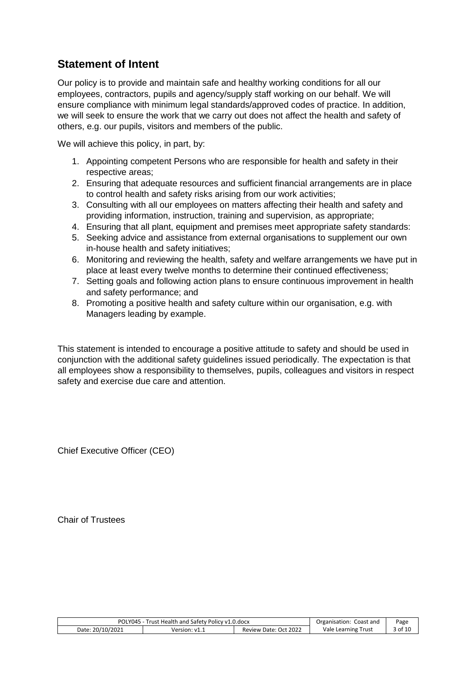#### **Statement of Intent**

Our policy is to provide and maintain safe and healthy working conditions for all our employees, contractors, pupils and agency/supply staff working on our behalf. We will ensure compliance with minimum legal standards/approved codes of practice. In addition, we will seek to ensure the work that we carry out does not affect the health and safety of others, e.g. our pupils, visitors and members of the public.

We will achieve this policy, in part, by:

- 1. Appointing competent Persons who are responsible for health and safety in their respective areas;
- 2. Ensuring that adequate resources and sufficient financial arrangements are in place to control health and safety risks arising from our work activities;
- 3. Consulting with all our employees on matters affecting their health and safety and providing information, instruction, training and supervision, as appropriate;
- 4. Ensuring that all plant, equipment and premises meet appropriate safety standards:
- 5. Seeking advice and assistance from external organisations to supplement our own in-house health and safety initiatives;
- 6. Monitoring and reviewing the health, safety and welfare arrangements we have put in place at least every twelve months to determine their continued effectiveness;
- 7. Setting goals and following action plans to ensure continuous improvement in health and safety performance; and
- 8. Promoting a positive health and safety culture within our organisation, e.g. with Managers leading by example.

This statement is intended to encourage a positive attitude to safety and should be used in conjunction with the additional safety guidelines issued periodically. The expectation is that all employees show a responsibility to themselves, pupils, colleagues and visitors in respect safety and exercise due care and attention.

Chief Executive Officer (CEO)

Chair of Trustees

| POLY045 - Trust Health and Safety Policy v1.0.docx |               |                       | Organisation: Coast and | Page    |
|----------------------------------------------------|---------------|-----------------------|-------------------------|---------|
| Date: 20/10/2021                                   | Version: v1.1 | Review Date: Oct 2022 | Vale Learning Trust     | 3 of 10 |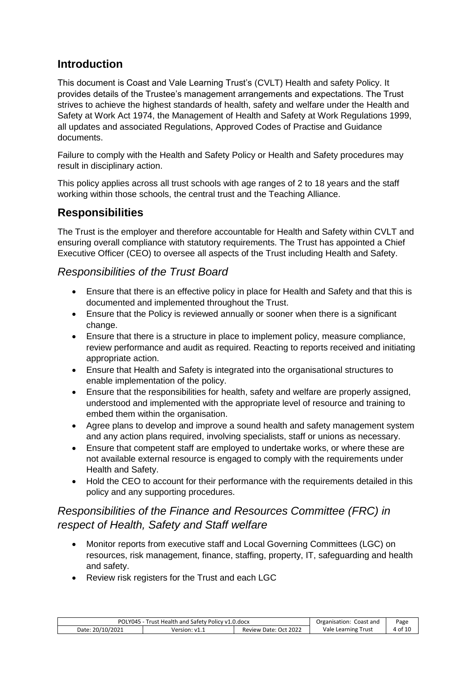#### <span id="page-3-0"></span>**Introduction**

This document is Coast and Vale Learning Trust's (CVLT) Health and safety Policy. It provides details of the Trustee's management arrangements and expectations. The Trust strives to achieve the highest standards of health, safety and welfare under the Health and Safety at Work Act 1974, the Management of Health and Safety at Work Regulations 1999, all updates and associated Regulations, Approved Codes of Practise and Guidance documents.

Failure to comply with the Health and Safety Policy or Health and Safety procedures may result in disciplinary action.

This policy applies across all trust schools with age ranges of 2 to 18 years and the staff working within those schools, the central trust and the Teaching Alliance.

#### <span id="page-3-1"></span>**Responsibilities**

The Trust is the employer and therefore accountable for Health and Safety within CVLT and ensuring overall compliance with statutory requirements. The Trust has appointed a Chief Executive Officer (CEO) to oversee all aspects of the Trust including Health and Safety.

#### <span id="page-3-2"></span>*Responsibilities of the Trust Board*

- Ensure that there is an effective policy in place for Health and Safety and that this is documented and implemented throughout the Trust.
- Ensure that the Policy is reviewed annually or sooner when there is a significant change.
- Ensure that there is a structure in place to implement policy, measure compliance, review performance and audit as required. Reacting to reports received and initiating appropriate action.
- Ensure that Health and Safety is integrated into the organisational structures to enable implementation of the policy.
- Ensure that the responsibilities for health, safety and welfare are properly assigned, understood and implemented with the appropriate level of resource and training to embed them within the organisation.
- Agree plans to develop and improve a sound health and safety management system and any action plans required, involving specialists, staff or unions as necessary.
- Ensure that competent staff are employed to undertake works, or where these are not available external resource is engaged to comply with the requirements under Health and Safety.
- Hold the CEO to account for their performance with the requirements detailed in this policy and any supporting procedures.

#### <span id="page-3-3"></span>*Responsibilities of the Finance and Resources Committee (FRC) in respect of Health, Safety and Staff welfare*

- Monitor reports from executive staff and Local Governing Committees (LGC) on resources, risk management, finance, staffing, property, IT, safeguarding and health and safety.
- Review risk registers for the Trust and each LGC

| POLY045 - Trust Health and Safety Policy v1.0.docx |               |                       | Organisation: Coast and | Page    |
|----------------------------------------------------|---------------|-----------------------|-------------------------|---------|
| Date: 20/10/2021                                   | Version: v1.1 | Review Date: Oct 2022 | Vale Learning Trust     | 4 of 10 |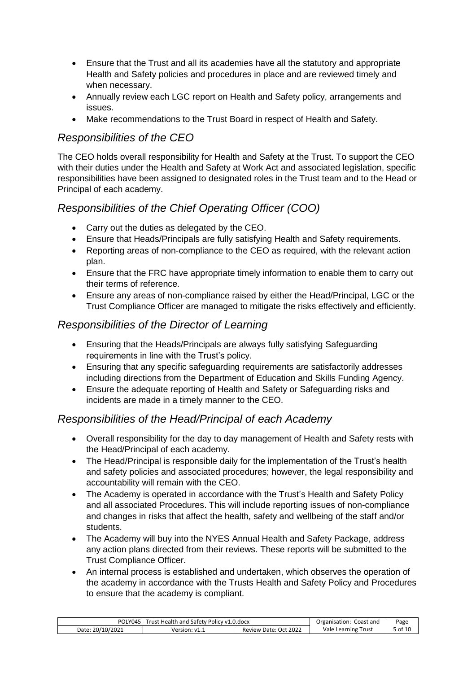- Ensure that the Trust and all its academies have all the statutory and appropriate Health and Safety policies and procedures in place and are reviewed timely and when necessary.
- Annually review each LGC report on Health and Safety policy, arrangements and issues.
- Make recommendations to the Trust Board in respect of Health and Safety.

#### <span id="page-4-0"></span>*Responsibilities of the CEO*

The CEO holds overall responsibility for Health and Safety at the Trust. To support the CEO with their duties under the Health and Safety at Work Act and associated legislation, specific responsibilities have been assigned to designated roles in the Trust team and to the Head or Principal of each academy.

#### <span id="page-4-1"></span>*Responsibilities of the Chief Operating Officer (COO)*

- Carry out the duties as delegated by the CEO.
- Ensure that Heads/Principals are fully satisfying Health and Safety requirements.
- Reporting areas of non-compliance to the CEO as required, with the relevant action plan.
- Ensure that the FRC have appropriate timely information to enable them to carry out their terms of reference.
- Ensure any areas of non-compliance raised by either the Head/Principal, LGC or the Trust Compliance Officer are managed to mitigate the risks effectively and efficiently.

#### <span id="page-4-2"></span>*Responsibilities of the Director of Learning*

- Ensuring that the Heads/Principals are always fully satisfying Safeguarding requirements in line with the Trust's policy.
- Ensuring that any specific safeguarding requirements are satisfactorily addresses including directions from the Department of Education and Skills Funding Agency.
- Ensure the adequate reporting of Health and Safety or Safeguarding risks and incidents are made in a timely manner to the CEO.

#### <span id="page-4-3"></span>*Responsibilities of the Head/Principal of each Academy*

- Overall responsibility for the day to day management of Health and Safety rests with the Head/Principal of each academy.
- The Head/Principal is responsible daily for the implementation of the Trust's health and safety policies and associated procedures; however, the legal responsibility and accountability will remain with the CEO.
- The Academy is operated in accordance with the Trust's Health and Safety Policy and all associated Procedures. This will include reporting issues of non-compliance and changes in risks that affect the health, safety and wellbeing of the staff and/or students.
- The Academy will buy into the NYES Annual Health and Safety Package, address any action plans directed from their reviews. These reports will be submitted to the Trust Compliance Officer.
- An internal process is established and undertaken, which observes the operation of the academy in accordance with the Trusts Health and Safety Policy and Procedures to ensure that the academy is compliant.

| Trust Health and Safety Policy v1.0.docx<br>POLY045 - |              | Organisation: Coast and | Page                |         |
|-------------------------------------------------------|--------------|-------------------------|---------------------|---------|
| Date: 20/10/2021                                      | Version: v1. | Review Date: Oct 2022   | Vale Learning Trust | , of 10 |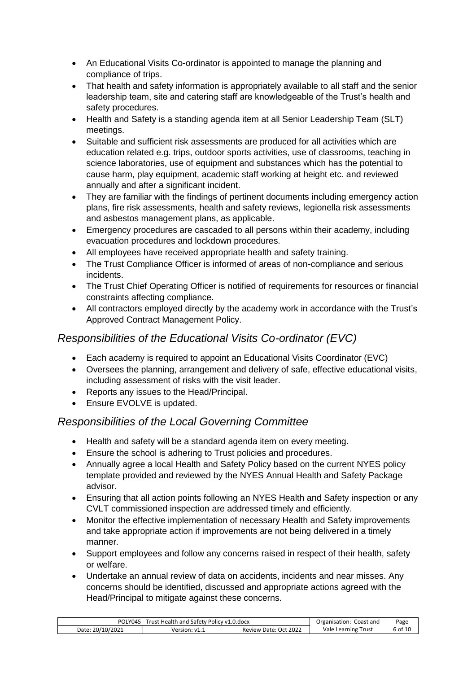- An Educational Visits Co-ordinator is appointed to manage the planning and compliance of trips.
- That health and safety information is appropriately available to all staff and the senior leadership team, site and catering staff are knowledgeable of the Trust's health and safety procedures.
- Health and Safety is a standing agenda item at all Senior Leadership Team (SLT) meetings.
- Suitable and sufficient risk assessments are produced for all activities which are education related e.g. trips, outdoor sports activities, use of classrooms, teaching in science laboratories, use of equipment and substances which has the potential to cause harm, play equipment, academic staff working at height etc. and reviewed annually and after a significant incident.
- They are familiar with the findings of pertinent documents including emergency action plans, fire risk assessments, health and safety reviews, legionella risk assessments and asbestos management plans, as applicable.
- Emergency procedures are cascaded to all persons within their academy, including evacuation procedures and lockdown procedures.
- All employees have received appropriate health and safety training.
- The Trust Compliance Officer is informed of areas of non-compliance and serious incidents.
- The Trust Chief Operating Officer is notified of requirements for resources or financial constraints affecting compliance.
- All contractors employed directly by the academy work in accordance with the Trust's Approved Contract Management Policy.

#### <span id="page-5-0"></span>*Responsibilities of the Educational Visits Co-ordinator (EVC)*

- Each academy is required to appoint an Educational Visits Coordinator (EVC)
- Oversees the planning, arrangement and delivery of safe, effective educational visits, including assessment of risks with the visit leader.
- Reports any issues to the Head/Principal.
- Ensure EVOLVE is updated.

#### <span id="page-5-1"></span>*Responsibilities of the Local Governing Committee*

- Health and safety will be a standard agenda item on every meeting.
- Ensure the school is adhering to Trust policies and procedures.
- Annually agree a local Health and Safety Policy based on the current NYES policy template provided and reviewed by the NYES Annual Health and Safety Package advisor.
- Ensuring that all action points following an NYES Health and Safety inspection or any CVLT commissioned inspection are addressed timely and efficiently.
- Monitor the effective implementation of necessary Health and Safety improvements and take appropriate action if improvements are not being delivered in a timely manner.
- Support employees and follow any concerns raised in respect of their health, safety or welfare.
- Undertake an annual review of data on accidents, incidents and near misses. Any concerns should be identified, discussed and appropriate actions agreed with the Head/Principal to mitigate against these concerns.

| POLY045 - Trust Health and Safety Policy v1.0.docx |               | Organisation: Coast and | Page                |         |
|----------------------------------------------------|---------------|-------------------------|---------------------|---------|
| Date: 20/10/2021                                   | Version: v1.1 | Review Date: Oct 2022   | Vale Learning Trust | 6 of 10 |
|                                                    |               |                         |                     |         |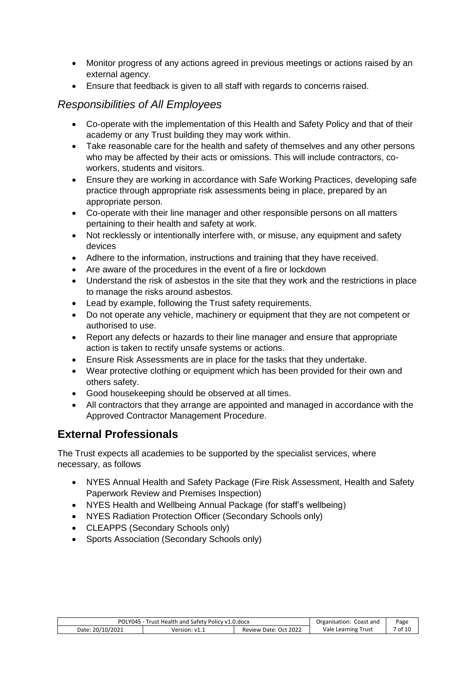- Monitor progress of any actions agreed in previous meetings or actions raised by an external agency.
- Ensure that feedback is given to all staff with regards to concerns raised.

#### <span id="page-6-0"></span>*Responsibilities of All Employees*

- Co-operate with the implementation of this Health and Safety Policy and that of their academy or any Trust building they may work within.
- Take reasonable care for the health and safety of themselves and any other persons who may be affected by their acts or omissions. This will include contractors, coworkers, students and visitors.
- Ensure they are working in accordance with Safe Working Practices, developing safe practice through appropriate risk assessments being in place, prepared by an appropriate person.
- Co-operate with their line manager and other responsible persons on all matters pertaining to their health and safety at work.
- Not recklessly or intentionally interfere with, or misuse, any equipment and safety devices
- Adhere to the information, instructions and training that they have received.
- Are aware of the procedures in the event of a fire or lockdown
- Understand the risk of asbestos in the site that they work and the restrictions in place to manage the risks around asbestos.
- Lead by example, following the Trust safety requirements.
- Do not operate any vehicle, machinery or equipment that they are not competent or authorised to use.
- Report any defects or hazards to their line manager and ensure that appropriate action is taken to rectify unsafe systems or actions.
- Ensure Risk Assessments are in place for the tasks that they undertake.
- Wear protective clothing or equipment which has been provided for their own and others safety.
- Good housekeeping should be observed at all times.
- All contractors that they arrange are appointed and managed in accordance with the Approved Contractor Management Procedure.

#### <span id="page-6-1"></span>**External Professionals**

The Trust expects all academies to be supported by the specialist services, where necessary, as follows

- NYES Annual Health and Safety Package (Fire Risk Assessment, Health and Safety Paperwork Review and Premises Inspection)
- NYES Health and Wellbeing Annual Package (for staff's wellbeing)
- NYES Radiation Protection Officer (Secondary Schools only)
- CLEAPPS (Secondary Schools only)
- <span id="page-6-2"></span>• Sports Association (Secondary Schools only)

| Trust Health and Safety Policy v1.0.docx<br>POLY045 - |               | Organisation: Coast and | Page                |         |
|-------------------------------------------------------|---------------|-------------------------|---------------------|---------|
| Date: 20/10/2021                                      | Version: v1.1 | Review Date: Oct 2022   | Vale Learning Trust | 7 of 10 |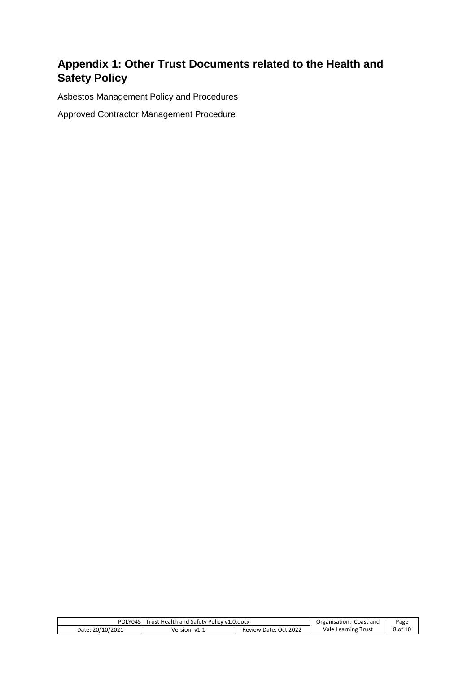### **Appendix 1: Other Trust Documents related to the Health and Safety Policy**

Asbestos Management Policy and Procedures

Approved Contractor Management Procedure

| POLY045 - Trust Health and Safety Policy v1.0.docx |               | Organisation: Coast and | Page                |         |
|----------------------------------------------------|---------------|-------------------------|---------------------|---------|
| Date: 20/10/2021                                   | Version: v1.1 | Review Date: Oct 2022   | Vale Learning Trust | 8 of 10 |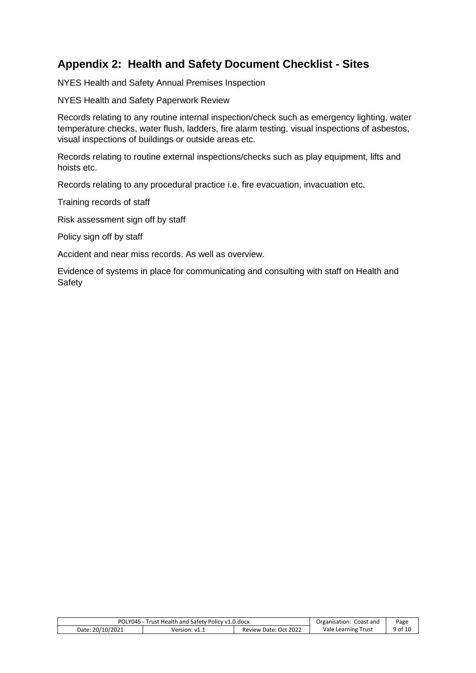#### <span id="page-8-0"></span>**Appendix 2: Health and Safety Document Checklist - Sites**

NYES Health and Safety Annual Premises Inspection

NYES Health and Safety Paperwork Review

Records relating to any routine internal inspection/check such as emergency lighting, water temperature checks, water flush, ladders, fire alarm testing, visual inspections of asbestos, visual inspections of buildings or outside areas etc.

Records relating to routine external inspections/checks such as play equipment, lifts and hoists etc.

Records relating to any procedural practice i.e. fire evacuation, invacuation etc.

Training records of staff

Risk assessment sign off by staff

Policy sign off by staff

Accident and near miss records. As well as overview.

<span id="page-8-1"></span>Evidence of systems in place for communicating and consulting with staff on Health and Safety

| POLY045 - Trust Health and Safety Policy v1.0.docx |               |                       | Organisation: Coast and | Page    |
|----------------------------------------------------|---------------|-----------------------|-------------------------|---------|
| Date: 20/10/2021                                   | Version: v1.1 | Review Date: Oct 2022 | Vale Learning Trust     | 9 of 10 |